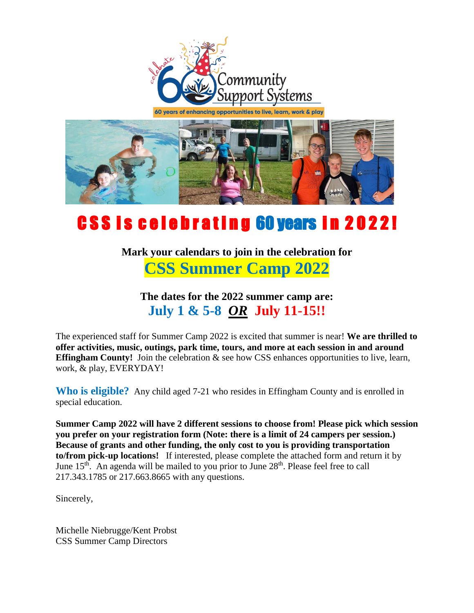

60 years of enhancing opportunities to live, learn, work & play



## CSS is celebrating 60 years in 2022!

**Mark your calendars to join in the celebration for CSS Summer Camp 2022**

**The dates for the 2022 summer camp are: July 1 & 5-8** *OR* **July 11-15!!**

The experienced staff for Summer Camp 2022 is excited that summer is near! **We are thrilled to offer activities, music, outings, park time, tours, and more at each session in and around Effingham County!** Join the celebration  $\&$  see how CSS enhances opportunities to live, learn, work, & play, EVERYDAY!

**Who is eligible?** Any child aged 7-21 who resides in Effingham County and is enrolled in special education.

**Summer Camp 2022 will have 2 different sessions to choose from! Please pick which session you prefer on your registration form (Note: there is a limit of 24 campers per session.) Because of grants and other funding, the only cost to you is providing transportation to/from pick-up locations!** If interested, please complete the attached form and return it by June  $15<sup>th</sup>$ . An agenda will be mailed to you prior to June  $28<sup>th</sup>$ . Please feel free to call 217.343.1785 or 217.663.8665 with any questions.

Sincerely,

Michelle Niebrugge/Kent Probst CSS Summer Camp Directors